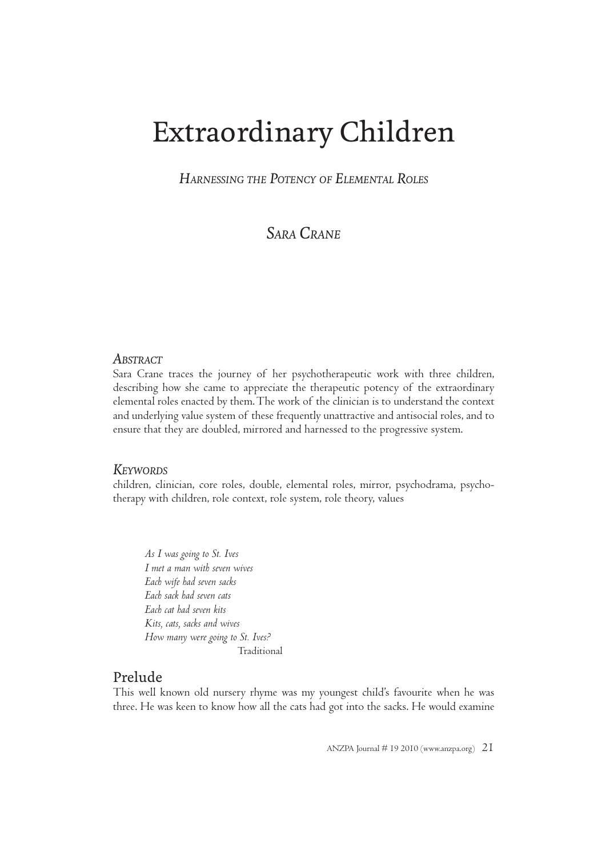# Extraordinary Children

*HARNESSING THE POTENCY OF ELEMENTAL ROLES*

*SARA CRANE*

## *ABSTRACT*

Sara Crane traces the journey of her psychotherapeutic work with three children, describing how she came to appreciate the therapeutic potency of the extraordinary elemental roles enacted by them. The work of the clinician is to understand the context and underlying value system of these frequently unattractive and antisocial roles, and to ensure that they are doubled, mirrored and harnessed to the progressive system.

# *KEYWORDS*

children, clinician, core roles, double, elemental roles, mirror, psychodrama, psychotherapy with children, role context, role system, role theory, values

*As I was going to St. Ives I met a man with seven wives Each wife had seven sacks Each sack had seven cats Each cat had seven kits Kits, cats, sacks and wives How many were going to St. Ives?* Traditional

# Prelude

This well known old nursery rhyme was my youngest child's favourite when he was three. He was keen to know how all the cats had got into the sacks. He would examine

ANZPA Journal # 19 2010 (www.anzpa.org)  $2I$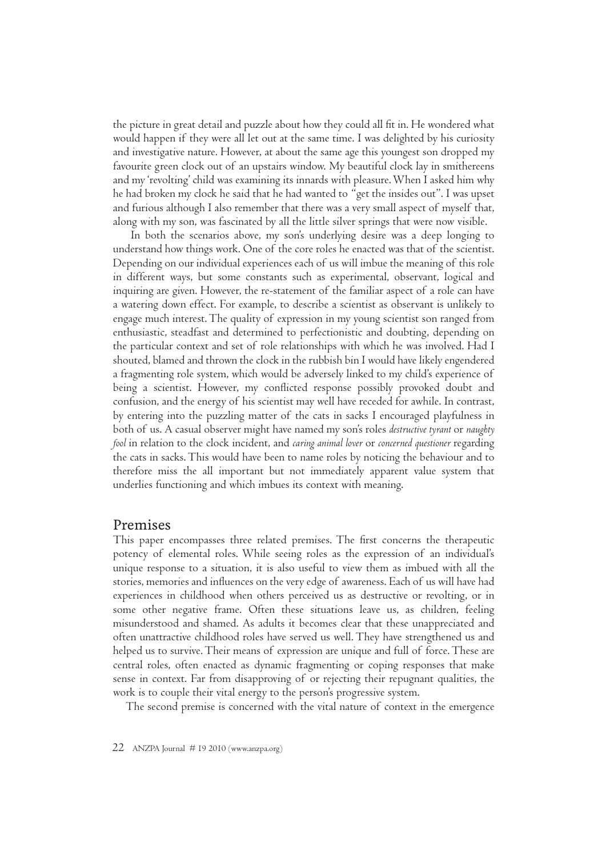the picture in great detail and puzzle about how they could all fit in. He wondered what would happen if they were all let out at the same time. I was delighted by his curiosity and investigative nature. However, at about the same age this youngest son dropped my favourite green clock out of an upstairs window. My beautiful clock lay in smithereens and my 'revolting' child was examining its innards with pleasure. When I asked him why he had broken my clock he said that he had wanted to "get the insides out". I was upset and furious although I also remember that there was a very small aspect of myself that, along with my son, was fascinated by all the little silver springs that were now visible.

In both the scenarios above, my son's underlying desire was a deep longing to understand how things work. One of the core roles he enacted was that of the scientist. Depending on our individual experiences each of us will imbue the meaning of this role in different ways, but some constants such as experimental, observant, logical and inquiring are given. However, the re-statement of the familiar aspect of a role can have a watering down effect. For example, to describe a scientist as observant is unlikely to engage much interest. The quality of expression in my young scientist son ranged from enthusiastic, steadfast and determined to perfectionistic and doubting, depending on the particular context and set of role relationships with which he was involved. Had I shouted, blamed and thrown the clock in the rubbish bin I would have likely engendered a fragmenting role system, which would be adversely linked to my child's experience of being a scientist. However, my conflicted response possibly provoked doubt and confusion, and the energy of his scientist may well have receded for awhile. In contrast, by entering into the puzzling matter of the cats in sacks I encouraged playfulness in both of us. A casual observer might have named my son's roles *destructive tyrant* or *naughty fool* in relation to the clock incident, and *caring animal lover* or *concerned questioner* regarding the cats in sacks. This would have been to name roles by noticing the behaviour and to therefore miss the all important but not immediately apparent value system that underlies functioning and which imbues its context with meaning.

## Premises

This paper encompasses three related premises. The first concerns the therapeutic potency of elemental roles. While seeing roles as the expression of an individual's unique response to a situation, it is also useful to view them as imbued with all the stories, memories and influences on the very edge of awareness. Each of us will have had experiences in childhood when others perceived us as destructive or revolting, or in some other negative frame. Often these situations leave us, as children, feeling misunderstood and shamed. As adults it becomes clear that these unappreciated and often unattractive childhood roles have served us well. They have strengthened us and helped us to survive. Their means of expression are unique and full of force. These are central roles, often enacted as dynamic fragmenting or coping responses that make sense in context. Far from disapproving of or rejecting their repugnant qualities, the work is to couple their vital energy to the person's progressive system.

The second premise is concerned with the vital nature of context in the emergence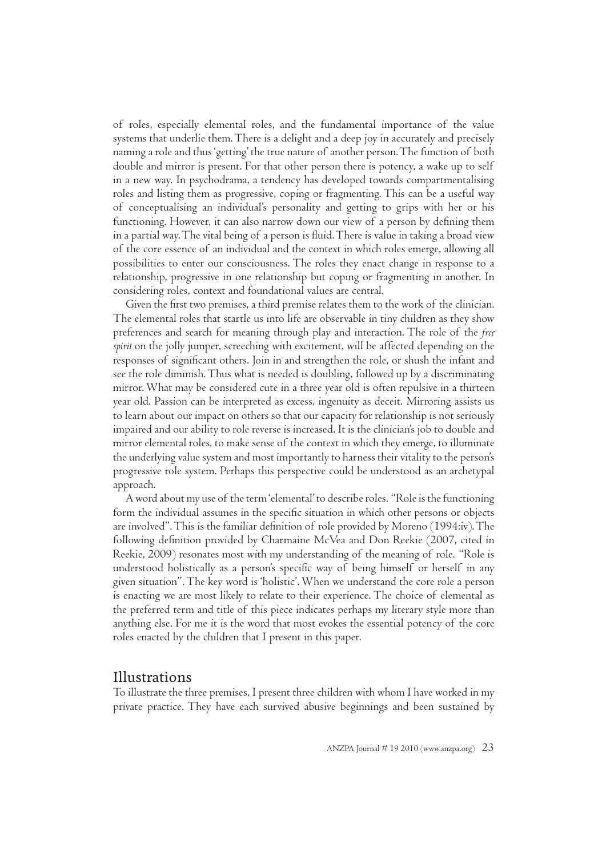of roles, especially elemental roles, and the fundamental importance of the value systems that underlie them. There is a delight and a deep joy in accurately and precisely naming a role and thus 'getting' the true nature of another person. The function of both double and mirror is present. For that other person there is potency, a wake up to self in a new way. In psychodrama, a tendency has developed towards compartmentalising roles and listing them as progressive, coping or fragmenting. This can be a useful way of conceptualising an individual's personality and getting to grips with her or his functioning. However, it can also narrow down our view of a person by defining them in a partial way. The vital being of a person is fluid. There is value in taking a broad view of the core essence of an individual and the context in which roles emerge, allowing all possibilities to enter our consciousness. The roles they enact change in response to a relationship, progressive in one relationship but coping or fragmenting in another. In considering roles, context and foundational values are central.

Given the first two premises, a third premise relates them to the work of the clinician. The elemental roles that startle us into life are observable in tiny children as they show preferences and search for meaning through play and interaction. The role of the *free spirit* on the jolly jumper, screeching with excitement, will be affected depending on the responses of significant others. Join in and strengthen the role, or shush the infant and see the role diminish. Thus what is needed is doubling, followed up by a discriminating mirror. What may be considered cute in a three year old is often repulsive in a thirteen year old. Passion can be interpreted as excess, ingenuity as deceit. Mirroring assists us to learn about our impact on others so that our capacity for relationship is not seriously impaired and our ability to role reverse is increased. It is the clinician's job to double and mirror elemental roles, to make sense of the context in which they emerge, to illuminate the underlying value system and most importantly to harness their vitality to the person's progressive role system. Perhaps this perspective could be understood as an archetypal approach.

A word about my use of the term 'elemental' to describe roles. "Role is the functioning form the individual assumes in the specific situation in which other persons or objects are involved". This is the familiar definition of role provided by Moreno (1994:iv). The following definition provided by Charmaine McVea and Don Reekie (2007, cited in Reekie, 2009) resonates most with my understanding of the meaning of role. "Role is understood holistically as a person's specific way of being himself or herself in any given situation". The key word is 'holistic'. When we understand the core role a person is enacting we are most likely to relate to their experience. The choice of elemental as the preferred term and title of this piece indicates perhaps my literary style more than anything else. For me it is the word that most evokes the essential potency of the core roles enacted by the children that I present in this paper.

## Illustrations

To illustrate the three premises, I present three children with whom I have worked in my private practice. They have each survived abusive beginnings and been sustained by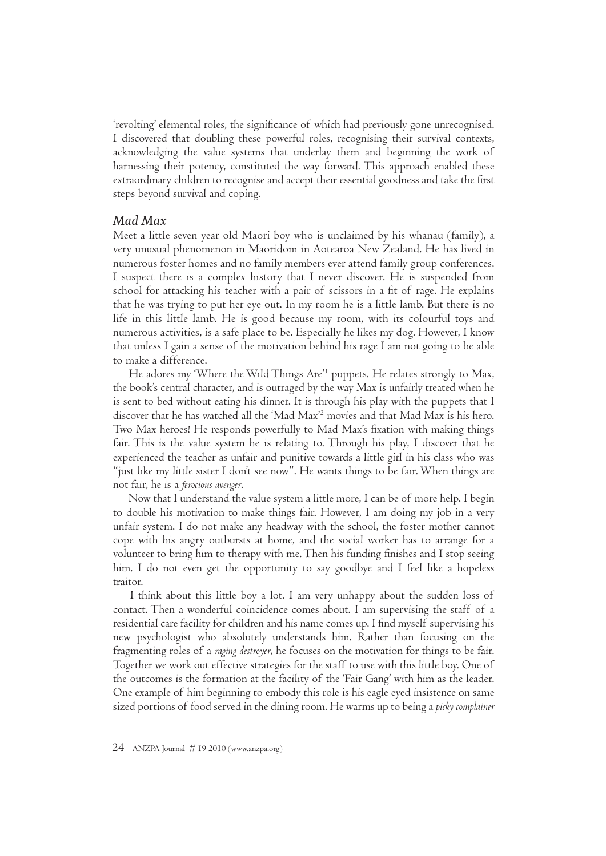'revolting' elemental roles, the significance of which had previously gone unrecognised. I discovered that doubling these powerful roles, recognising their survival contexts, acknowledging the value systems that underlay them and beginning the work of harnessing their potency, constituted the way forward. This approach enabled these extraordinary children to recognise and accept their essential goodness and take the first steps beyond survival and coping.

## *Mad Max*

Meet a little seven year old Maori boy who is unclaimed by his whanau (family), a very unusual phenomenon in Maoridom in Aotearoa New Zealand. He has lived in numerous foster homes and no family members ever attend family group conferences. I suspect there is a complex history that I never discover. He is suspended from school for attacking his teacher with a pair of scissors in a fit of rage. He explains that he was trying to put her eye out. In my room he is a little lamb. But there is no life in this little lamb. He is good because my room, with its colourful toys and numerous activities, is a safe place to be. Especially he likes my dog. However, I know that unless I gain a sense of the motivation behind his rage I am not going to be able to make a difference.

He adores my 'Where the Wild Things Are'<sup>1</sup> puppets. He relates strongly to Max, the book's central character, and is outraged by the way Max is unfairly treated when he is sent to bed without eating his dinner. It is through his play with the puppets that I discover that he has watched all the 'Mad Max'2 movies and that Mad Max is his hero. Two Max heroes! He responds powerfully to Mad Max's fixation with making things fair. This is the value system he is relating to. Through his play, I discover that he experienced the teacher as unfair and punitive towards a little girl in his class who was "just like my little sister I don't see now". He wants things to be fair. When things are not fair, he is a *ferocious avenger*.

Now that I understand the value system a little more, I can be of more help. I begin to double his motivation to make things fair. However, I am doing my job in a very unfair system. I do not make any headway with the school, the foster mother cannot cope with his angry outbursts at home, and the social worker has to arrange for a volunteer to bring him to therapy with me. Then his funding finishes and I stop seeing him. I do not even get the opportunity to say goodbye and I feel like a hopeless traitor.

 I think about this little boy a lot. I am very unhappy about the sudden loss of contact. Then a wonderful coincidence comes about. I am supervising the staff of a residential care facility for children and his name comes up. I find myself supervising his new psychologist who absolutely understands him. Rather than focusing on the fragmenting roles of a *raging destroyer*, he focuses on the motivation for things to be fair. Together we work out effective strategies for the staff to use with this little boy. One of the outcomes is the formation at the facility of the 'Fair Gang' with him as the leader. One example of him beginning to embody this role is his eagle eyed insistence on same sized portions of food served in the dining room. He warms up to being a *picky complainer*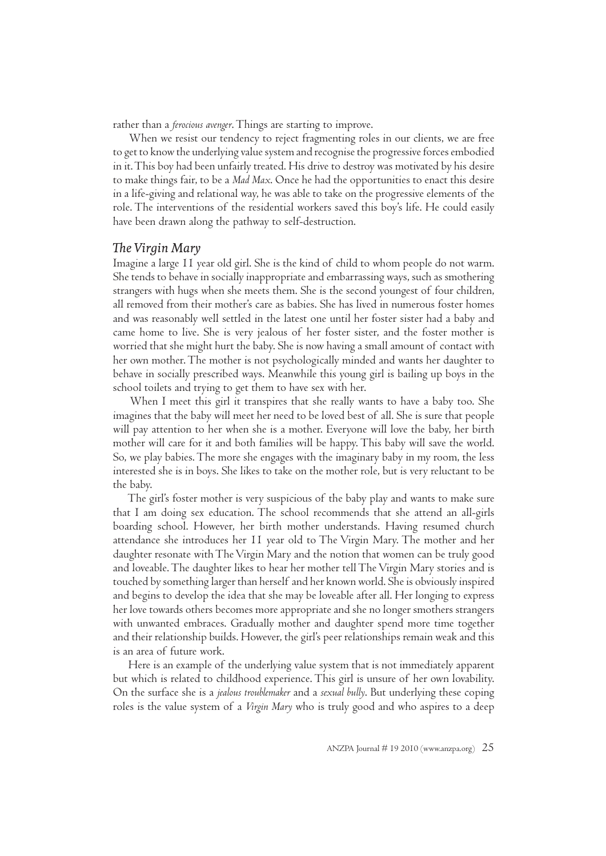rather than a *ferocious avenger*. Things are starting to improve.

When we resist our tendency to reject fragmenting roles in our clients, we are free to get to know the underlying value system and recognise the progressive forces embodied in it. This boy had been unfairly treated. His drive to destroy was motivated by his desire to make things fair, to be a *Mad Max*. Once he had the opportunities to enact this desire in a life-giving and relational way, he was able to take on the progressive elements of the role. The interventions of the residential workers saved this boy's life. He could easily have been drawn along the pathway to self-destruction.

#### *T e Virgin Mar*

Imagine a large 11 year old girl. She is the kind of child to whom people do not warm. She tends to behave in socially inappropriate and embarrassing ways, such as smothering strangers with hugs when she meets them. She is the second youngest of four children, all removed from their mother's care as babies. She has lived in numerous foster homes and was reasonably well settled in the latest one until her foster sister had a baby and came home to live. She is very jealous of her foster sister, and the foster mother is worried that she might hurt the baby. She is now having a small amount of contact with her own mother. The mother is not psychologically minded and wants her daughter to behave in socially prescribed ways. Meanwhile this young girl is bailing up boys in the school toilets and trying to get them to have sex with her.

When I meet this girl it transpires that she really wants to have a baby too. She imagines that the baby will meet her need to be loved best of all. She is sure that people will pay attention to her when she is a mother. Everyone will love the baby, her birth mother will care for it and both families will be happy. This baby will save the world. So, we play babies. The more she engages with the imaginary baby in my room, the less interested she is in boys. She likes to take on the mother role, but is very reluctant to be the baby.

 The girl's foster mother is very suspicious of the baby play and wants to make sure that I am doing sex education. The school recommends that she attend an all-girls boarding school. However, her birth mother understands. Having resumed church attendance she introduces her 11 year old to The Virgin Mary. The mother and her daughter resonate with The Virgin Mary and the notion that women can be truly good and loveable. The daughter likes to hear her mother tell The Virgin Mary stories and is touched by something larger than herself and her known world. She is obviously inspired and begins to develop the idea that she may be loveable after all. Her longing to express her love towards others becomes more appropriate and she no longer smothers strangers with unwanted embraces. Gradually mother and daughter spend more time together and their relationship builds. However, the girl's peer relationships remain weak and this is an area of future work.

 Here is an example of the underlying value system that is not immediately apparent but which is related to childhood experience. This girl is unsure of her own lovability. On the surface she is a *jealous troublemaker* and a *sexual bully*. But underlying these coping roles is the value system of a *Virgin Mary* who is truly good and who aspires to a deep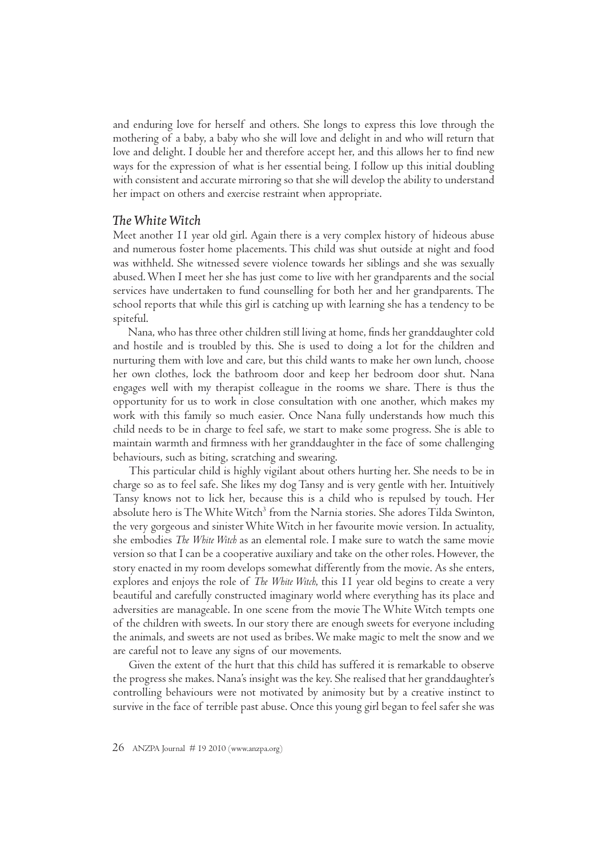and enduring love for herself and others. She longs to express this love through the mothering of a baby, a baby who she will love and delight in and who will return that love and delight. I double her and therefore accept her, and this allows her to find new ways for the expression of what is her essential being. I follow up this initial doubling with consistent and accurate mirroring so that she will develop the ability to understand her impact on others and exercise restraint when appropriate.

## *T e White Witch*

Meet another 11 year old girl. Again there is a very complex history of hideous abuse and numerous foster home placements. This child was shut outside at night and food was withheld. She witnessed severe violence towards her siblings and she was sexually abused. When I meet her she has just come to live with her grandparents and the social services have undertaken to fund counselling for both her and her grandparents. The school reports that while this girl is catching up with learning she has a tendency to be spiteful.

Nana, who has three other children still living at home, finds her granddaughter cold and hostile and is troubled by this. She is used to doing a lot for the children and nurturing them with love and care, but this child wants to make her own lunch, choose her own clothes, lock the bathroom door and keep her bedroom door shut. Nana engages well with my therapist colleague in the rooms we share. There is thus the opportunity for us to work in close consultation with one another, which makes my work with this family so much easier. Once Nana fully understands how much this child needs to be in charge to feel safe, we start to make some progress. She is able to maintain warmth and firmness with her granddaughter in the face of some challenging behaviours, such as biting, scratching and swearing.

This particular child is highly vigilant about others hurting her. She needs to be in charge so as to feel safe. She likes my dog Tansy and is very gentle with her. Intuitively Tansy knows not to lick her, because this is a child who is repulsed by touch. Her absolute hero is The White Witch<sup>3</sup> from the Narnia stories. She adores Tilda Swinton, the very gorgeous and sinister White Witch in her favourite movie version. In actuality, she embodies *The White Witch* as an elemental role. I make sure to watch the same movie version so that I can be a cooperative auxiliary and take on the other roles. However, the story enacted in my room develops somewhat differently from the movie. As she enters, explores and enjoys the role of *The White Witch*, this 11 year old begins to create a very beautiful and carefully constructed imaginary world where everything has its place and adversities are manageable. In one scene from the movie The White Witch tempts one of the children with sweets. In our story there are enough sweets for everyone including the animals, and sweets are not used as bribes. We make magic to melt the snow and we are careful not to leave any signs of our movements.

Given the extent of the hurt that this child has suffered it is remarkable to observe the progress she makes. Nana's insight was the key. She realised that her granddaughter's controlling behaviours were not motivated by animosity but by a creative instinct to survive in the face of terrible past abuse. Once this young girl began to feel safer she was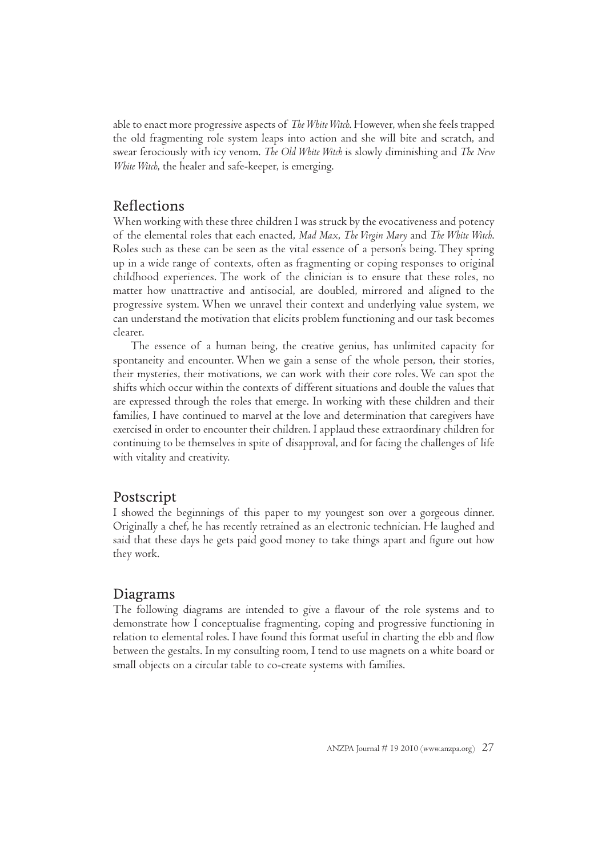able to enact more progressive aspects of *TheWhite Witch*. However, when she feels trapped the old fragmenting role system leaps into action and she will bite and scratch, and swear ferociously with icy venom. *The Old White Witch* is slowly diminishing and *The New White Witch*, the healer and safe-keeper, is emerging.

# **Reflections**

When working with these three children I was struck by the evocativeness and potency of the elemental roles that each enacted, *Mad Max*, *The Virgin Mary* and *The White Witch*. Roles such as these can be seen as the vital essence of a person's being. They spring up in a wide range of contexts, often as fragmenting or coping responses to original childhood experiences. The work of the clinician is to ensure that these roles, no matter how unattractive and antisocial, are doubled, mirrored and aligned to the progressive system. When we unravel their context and underlying value system, we can understand the motivation that elicits problem functioning and our task becomes clearer.

The essence of a human being, the creative genius, has unlimited capacity for spontaneity and encounter. When we gain a sense of the whole person, their stories, their mysteries, their motivations, we can work with their core roles. We can spot the shifts which occur within the contexts of different situations and double the values that are expressed through the roles that emerge. In working with these children and their families, I have continued to marvel at the love and determination that caregivers have exercised in order to encounter their children. I applaud these extraordinary children for continuing to be themselves in spite of disapproval, and for facing the challenges of life with vitality and creativity.

# Postscript

I showed the beginnings of this paper to my youngest son over a gorgeous dinner. Originally a chef, he has recently retrained as an electronic technician. He laughed and said that these days he gets paid good money to take things apart and figure out how they work.

# Diagrams

The following diagrams are intended to give a flavour of the role systems and to demonstrate how I conceptualise fragmenting, coping and progressive functioning in relation to elemental roles. I have found this format useful in charting the ebb and flow between the gestalts. In my consulting room, I tend to use magnets on a white board or small objects on a circular table to co-create systems with families.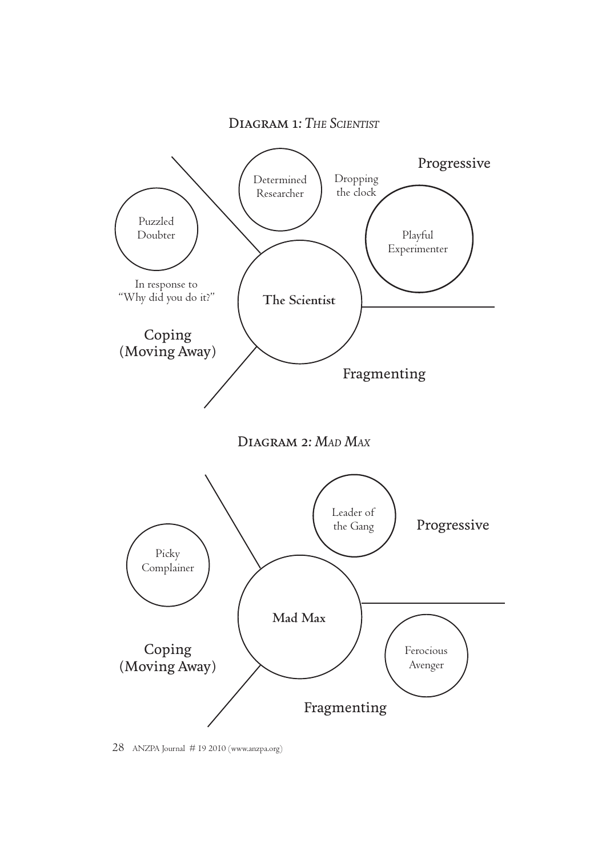





28 ANZPA Journal # 19 2010 (www.anzpa.org)